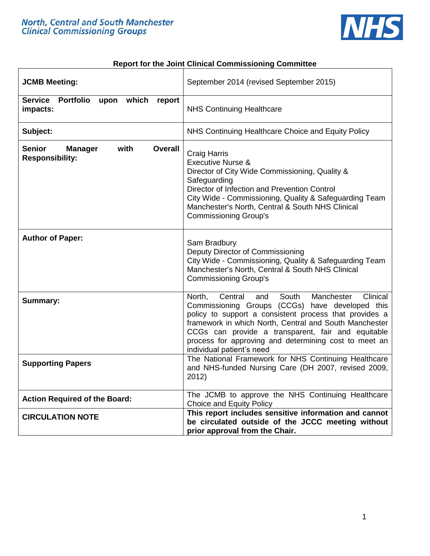

#### **Report for the Joint Clinical Commissioning Committee**

| <b>JCMB Meeting:</b>                                                         | September 2014 (revised September 2015)                                                                                                                                                                                                                                                                                                                                        |
|------------------------------------------------------------------------------|--------------------------------------------------------------------------------------------------------------------------------------------------------------------------------------------------------------------------------------------------------------------------------------------------------------------------------------------------------------------------------|
| Service Portfolio<br>upon which<br>report<br>impacts:                        | <b>NHS Continuing Healthcare</b>                                                                                                                                                                                                                                                                                                                                               |
| Subject:                                                                     | NHS Continuing Healthcare Choice and Equity Policy                                                                                                                                                                                                                                                                                                                             |
| <b>Senior</b><br>with<br><b>Manager</b><br>Overall<br><b>Responsibility:</b> | <b>Craig Harris</b><br><b>Executive Nurse &amp;</b><br>Director of City Wide Commissioning, Quality &<br>Safeguarding<br>Director of Infection and Prevention Control<br>City Wide - Commissioning, Quality & Safeguarding Team<br>Manchester's North, Central & South NHS Clinical<br><b>Commissioning Group's</b>                                                            |
| <b>Author of Paper:</b>                                                      | Sam Bradbury<br>Deputy Director of Commissioning<br>City Wide - Commissioning, Quality & Safeguarding Team<br>Manchester's North, Central & South NHS Clinical<br><b>Commissioning Group's</b>                                                                                                                                                                                 |
| <b>Summary:</b>                                                              | North,<br>Central<br>Manchester<br>Clinical<br>and<br>South<br>Commissioning Groups (CCGs) have developed this<br>policy to support a consistent process that provides a<br>framework in which North, Central and South Manchester<br>CCGs can provide a transparent, fair and equitable<br>process for approving and determining cost to meet an<br>individual patient's need |
| <b>Supporting Papers</b>                                                     | The National Framework for NHS Continuing Healthcare<br>and NHS-funded Nursing Care (DH 2007, revised 2009,<br>2012)                                                                                                                                                                                                                                                           |
| <b>Action Required of the Board:</b>                                         | The JCMB to approve the NHS Continuing Healthcare<br><b>Choice and Equity Policy</b>                                                                                                                                                                                                                                                                                           |
| <b>CIRCULATION NOTE</b>                                                      | This report includes sensitive information and cannot<br>be circulated outside of the JCCC meeting without<br>prior approval from the Chair.                                                                                                                                                                                                                                   |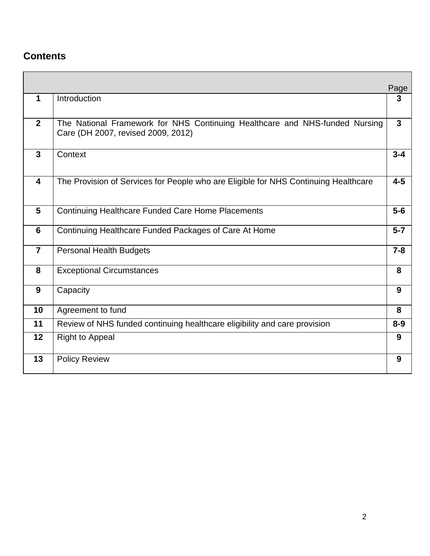## **Contents**

|                         |                                                                                                                   | Page         |
|-------------------------|-------------------------------------------------------------------------------------------------------------------|--------------|
| 1                       | Introduction                                                                                                      | 3            |
| $\overline{2}$          | The National Framework for NHS Continuing Healthcare and NHS-funded Nursing<br>Care (DH 2007, revised 2009, 2012) | $\mathbf{3}$ |
| $\mathbf{3}$            | Context                                                                                                           | $3 - 4$      |
| $\overline{\mathbf{4}}$ | The Provision of Services for People who are Eligible for NHS Continuing Healthcare                               | $4 - 5$      |
| 5                       | <b>Continuing Healthcare Funded Care Home Placements</b>                                                          | $5-6$        |
| 6                       | Continuing Healthcare Funded Packages of Care At Home                                                             | $5 - 7$      |
| $\overline{7}$          | <b>Personal Health Budgets</b>                                                                                    | $7 - 8$      |
| 8                       | <b>Exceptional Circumstances</b>                                                                                  | 8            |
| 9                       | Capacity                                                                                                          | 9            |
| 10                      | Agreement to fund                                                                                                 | 8            |
| 11                      | Review of NHS funded continuing healthcare eligibility and care provision                                         | $8 - 9$      |
| 12                      | <b>Right to Appeal</b>                                                                                            | 9            |
| 13                      | <b>Policy Review</b>                                                                                              | 9            |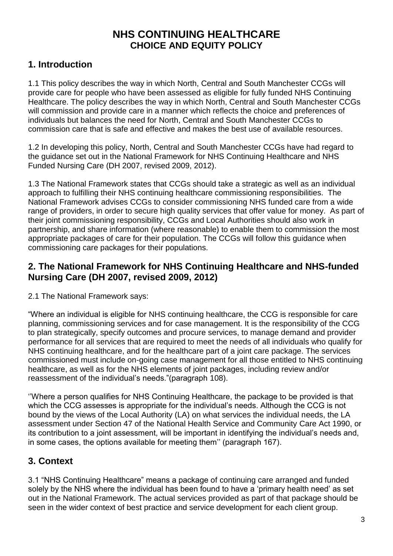# **NHS CONTINUING HEALTHCARE CHOICE AND EQUITY POLICY**

## **1. Introduction**

1.1 This policy describes the way in which North, Central and South Manchester CCGs will provide care for people who have been assessed as eligible for fully funded NHS Continuing Healthcare. The policy describes the way in which North, Central and South Manchester CCGs will commission and provide care in a manner which reflects the choice and preferences of individuals but balances the need for North, Central and South Manchester CCGs to commission care that is safe and effective and makes the best use of available resources.

1.2 In developing this policy, North, Central and South Manchester CCGs have had regard to the guidance set out in the National Framework for NHS Continuing Healthcare and NHS Funded Nursing Care (DH 2007, revised 2009, 2012).

1.3 The National Framework states that CCGs should take a strategic as well as an individual approach to fulfilling their NHS continuing healthcare commissioning responsibilities. The National Framework advises CCGs to consider commissioning NHS funded care from a wide range of providers, in order to secure high quality services that offer value for money. As part of their joint commissioning responsibility, CCGs and Local Authorities should also work in partnership, and share information (where reasonable) to enable them to commission the most appropriate packages of care for their population. The CCGs will follow this guidance when commissioning care packages for their populations.

### **2. The National Framework for NHS Continuing Healthcare and NHS-funded Nursing Care (DH 2007, revised 2009, 2012)**

2.1 The National Framework says:

"Where an individual is eligible for NHS continuing healthcare, the CCG is responsible for care planning, commissioning services and for case management. It is the responsibility of the CCG to plan strategically, specify outcomes and procure services, to manage demand and provider performance for all services that are required to meet the needs of all individuals who qualify for NHS continuing healthcare, and for the healthcare part of a joint care package. The services commissioned must include on-going case management for all those entitled to NHS continuing healthcare, as well as for the NHS elements of joint packages, including review and/or reassessment of the individual's needs."(paragraph 108).

''Where a person qualifies for NHS Continuing Healthcare, the package to be provided is that which the CCG assesses is appropriate for the individual's needs. Although the CCG is not bound by the views of the Local Authority (LA) on what services the individual needs, the LA assessment under Section 47 of the National Health Service and Community Care Act 1990, or its contribution to a joint assessment, will be important in identifying the individual's needs and, in some cases, the options available for meeting them'' (paragraph 167).

## **3. Context**

3.1 "NHS Continuing Healthcare" means a package of continuing care arranged and funded solely by the NHS where the individual has been found to have a 'primary health need' as set out in the National Framework. The actual services provided as part of that package should be seen in the wider context of best practice and service development for each client group.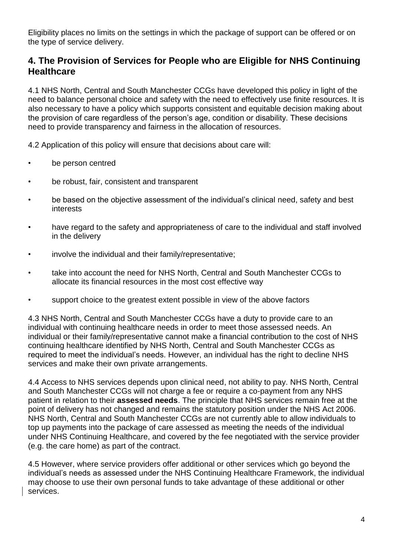Eligibility places no limits on the settings in which the package of support can be offered or on the type of service delivery.

### **4. The Provision of Services for People who are Eligible for NHS Continuing Healthcare**

4.1 NHS North, Central and South Manchester CCGs have developed this policy in light of the need to balance personal choice and safety with the need to effectively use finite resources. It is also necessary to have a policy which supports consistent and equitable decision making about the provision of care regardless of the person's age, condition or disability. These decisions need to provide transparency and fairness in the allocation of resources.

4.2 Application of this policy will ensure that decisions about care will:

- be person centred
- be robust, fair, consistent and transparent
- be based on the objective assessment of the individual's clinical need, safety and best interests
- have regard to the safety and appropriateness of care to the individual and staff involved in the delivery
- involve the individual and their family/representative;
- take into account the need for NHS North, Central and South Manchester CCGs to allocate its financial resources in the most cost effective way
- support choice to the greatest extent possible in view of the above factors

4.3 NHS North, Central and South Manchester CCGs have a duty to provide care to an individual with continuing healthcare needs in order to meet those assessed needs. An individual or their family/representative cannot make a financial contribution to the cost of NHS continuing healthcare identified by NHS North, Central and South Manchester CCGs as required to meet the individual's needs. However, an individual has the right to decline NHS services and make their own private arrangements.

4.4 Access to NHS services depends upon clinical need, not ability to pay. NHS North, Central and South Manchester CCGs will not charge a fee or require a co-payment from any NHS patient in relation to their **assessed needs**. The principle that NHS services remain free at the point of delivery has not changed and remains the statutory position under the NHS Act 2006. NHS North, Central and South Manchester CCGs are not currently able to allow individuals to top up payments into the package of care assessed as meeting the needs of the individual under NHS Continuing Healthcare, and covered by the fee negotiated with the service provider (e.g. the care home) as part of the contract.

4.5 However, where service providers offer additional or other services which go beyond the individual's needs as assessed under the NHS Continuing Healthcare Framework, the individual may choose to use their own personal funds to take advantage of these additional or other services.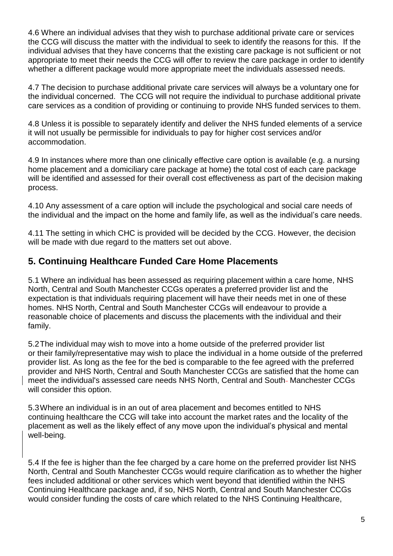4.6 Where an individual advises that they wish to purchase additional private care or services the CCG will discuss the matter with the individual to seek to identify the reasons for this. If the individual advises that they have concerns that the existing care package is not sufficient or not appropriate to meet their needs the CCG will offer to review the care package in order to identify whether a different package would more appropriate meet the individuals assessed needs.

4.7 The decision to purchase additional private care services will always be a voluntary one for the individual concerned. The CCG will not require the individual to purchase additional private care services as a condition of providing or continuing to provide NHS funded services to them.

4.8 Unless it is possible to separately identify and deliver the NHS funded elements of a service it will not usually be permissible for individuals to pay for higher cost services and/or accommodation.

4.9 In instances where more than one clinically effective care option is available (e.g. a nursing home placement and a domiciliary care package at home) the total cost of each care package will be identified and assessed for their overall cost effectiveness as part of the decision making process.

4.10 Any assessment of a care option will include the psychological and social care needs of the individual and the impact on the home and family life, as well as the individual's care needs.

4.11 The setting in which CHC is provided will be decided by the CCG. However, the decision will be made with due regard to the matters set out above.

### **5. Continuing Healthcare Funded Care Home Placements**

5.1 Where an individual has been assessed as requiring placement within a care home, NHS North, Central and South Manchester CCGs operates a preferred provider list and the expectation is that individuals requiring placement will have their needs met in one of these homes. NHS North, Central and South Manchester CCGs will endeavour to provide a reasonable choice of placements and discuss the placements with the individual and their family.

5.2The individual may wish to move into a home outside of the preferred provider list or their family/representative may wish to place the individual in a home outside of the preferred provider list. As long as the fee for the bed is comparable to the fee agreed with the preferred provider and NHS North, Central and South Manchester CCGs are satisfied that the home can meet the individual's assessed care needs NHS North, Central and South-Manchester CCGs will consider this option.

5.3Where an individual is in an out of area placement and becomes entitled to NHS continuing healthcare the CCG will take into account the market rates and the locality of the placement as well as the likely effect of any move upon the individual's physical and mental well-being.

5.4 If the fee is higher than the fee charged by a care home on the preferred provider list NHS North, Central and South Manchester CCGs would require clarification as to whether the higher fees included additional or other services which went beyond that identified within the NHS Continuing Healthcare package and, if so, NHS North, Central and South Manchester CCGs would consider funding the costs of care which related to the NHS Continuing Healthcare,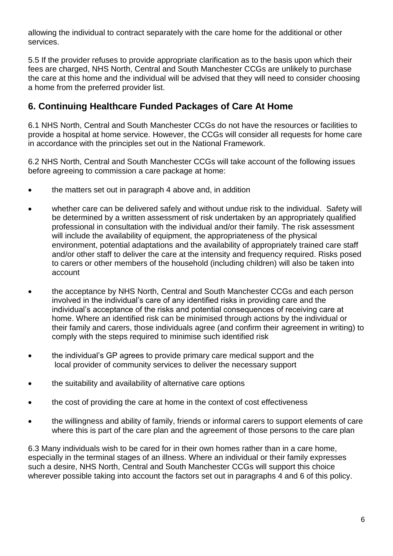allowing the individual to contract separately with the care home for the additional or other services.

5.5 If the provider refuses to provide appropriate clarification as to the basis upon which their fees are charged, NHS North, Central and South Manchester CCGs are unlikely to purchase the care at this home and the individual will be advised that they will need to consider choosing a home from the preferred provider list.

### **6. Continuing Healthcare Funded Packages of Care At Home**

6.1 NHS North, Central and South Manchester CCGs do not have the resources or facilities to provide a hospital at home service. However, the CCGs will consider all requests for home care in accordance with the principles set out in the National Framework.

6.2 NHS North, Central and South Manchester CCGs will take account of the following issues before agreeing to commission a care package at home:

- the matters set out in paragraph 4 above and, in addition
- whether care can be delivered safely and without undue risk to the individual. Safety will be determined by a written assessment of risk undertaken by an appropriately qualified professional in consultation with the individual and/or their family. The risk assessment will include the availability of equipment, the appropriateness of the physical environment, potential adaptations and the availability of appropriately trained care staff and/or other staff to deliver the care at the intensity and frequency required. Risks posed to carers or other members of the household (including children) will also be taken into account
- the acceptance by NHS North, Central and South Manchester CCGs and each person involved in the individual's care of any identified risks in providing care and the individual's acceptance of the risks and potential consequences of receiving care at home. Where an identified risk can be minimised through actions by the individual or their family and carers, those individuals agree (and confirm their agreement in writing) to comply with the steps required to minimise such identified risk
- the individual's GP agrees to provide primary care medical support and the local provider of community services to deliver the necessary support
- the suitability and availability of alternative care options
- the cost of providing the care at home in the context of cost effectiveness
- the willingness and ability of family, friends or informal carers to support elements of care where this is part of the care plan and the agreement of those persons to the care plan

6.3 Many individuals wish to be cared for in their own homes rather than in a care home, especially in the terminal stages of an illness. Where an individual or their family expresses such a desire, NHS North, Central and South Manchester CCGs will support this choice wherever possible taking into account the factors set out in paragraphs 4 and 6 of this policy.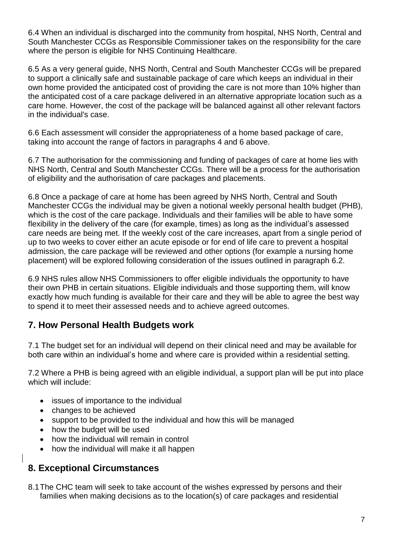6.4 When an individual is discharged into the community from hospital, NHS North, Central and South Manchester CCGs as Responsible Commissioner takes on the responsibility for the care where the person is eligible for NHS Continuing Healthcare.

6.5 As a very general guide, NHS North, Central and South Manchester CCGs will be prepared to support a clinically safe and sustainable package of care which keeps an individual in their own home provided the anticipated cost of providing the care is not more than 10% higher than the anticipated cost of a care package delivered in an alternative appropriate location such as a care home. However, the cost of the package will be balanced against all other relevant factors in the individual's case.

6.6 Each assessment will consider the appropriateness of a home based package of care, taking into account the range of factors in paragraphs 4 and 6 above.

6.7 The authorisation for the commissioning and funding of packages of care at home lies with NHS North, Central and South Manchester CCGs. There will be a process for the authorisation of eligibility and the authorisation of care packages and placements.

6.8 Once a package of care at home has been agreed by NHS North, Central and South Manchester CCGs the individual may be given a notional weekly personal health budget (PHB), which is the cost of the care package. Individuals and their families will be able to have some flexibility in the delivery of the care (for example, times) as long as the individual's assessed care needs are being met. If the weekly cost of the care increases, apart from a single period of up to two weeks to cover either an acute episode or for end of life care to prevent a hospital admission, the care package will be reviewed and other options (for example a nursing home placement) will be explored following consideration of the issues outlined in paragraph 6.2.

6.9 NHS rules allow NHS Commissioners to offer eligible individuals the opportunity to have their own PHB in certain situations. Eligible individuals and those supporting them, will know exactly how much funding is available for their care and they will be able to agree the best way to spend it to meet their assessed needs and to achieve agreed outcomes.

#### **7. How Personal Health Budgets work**

7.1 The budget set for an individual will depend on their clinical need and may be available for both care within an individual's home and where care is provided within a residential setting.

7.2 Where a PHB is being agreed with an eligible individual, a support plan will be put into place which will include:

- issues of importance to the individual
- changes to be achieved
- support to be provided to the individual and how this will be managed
- how the budget will be used
- how the individual will remain in control
- how the individual will make it all happen

#### **8. Exceptional Circumstances**

8.1The CHC team will seek to take account of the wishes expressed by persons and their families when making decisions as to the location(s) of care packages and residential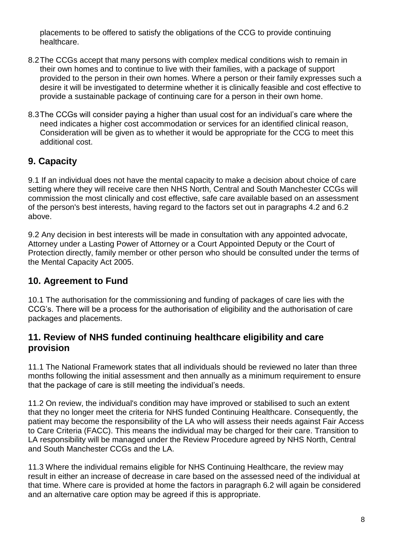placements to be offered to satisfy the obligations of the CCG to provide continuing healthcare.

- 8.2The CCGs accept that many persons with complex medical conditions wish to remain in their own homes and to continue to live with their families, with a package of support provided to the person in their own homes. Where a person or their family expresses such a desire it will be investigated to determine whether it is clinically feasible and cost effective to provide a sustainable package of continuing care for a person in their own home.
- 8.3The CCGs will consider paying a higher than usual cost for an individual's care where the need indicates a higher cost accommodation or services for an identified clinical reason, Consideration will be given as to whether it would be appropriate for the CCG to meet this additional cost.

## **9. Capacity**

9.1 If an individual does not have the mental capacity to make a decision about choice of care setting where they will receive care then NHS North, Central and South Manchester CCGs will commission the most clinically and cost effective, safe care available based on an assessment of the person's best interests, having regard to the factors set out in paragraphs 4.2 and 6.2 above.

9.2 Any decision in best interests will be made in consultation with any appointed advocate, Attorney under a Lasting Power of Attorney or a Court Appointed Deputy or the Court of Protection directly, family member or other person who should be consulted under the terms of the Mental Capacity Act 2005.

#### **10. Agreement to Fund**

10.1 The authorisation for the commissioning and funding of packages of care lies with the CCG's. There will be a process for the authorisation of eligibility and the authorisation of care packages and placements.

#### **11. Review of NHS funded continuing healthcare eligibility and care provision**

11.1 The National Framework states that all individuals should be reviewed no later than three months following the initial assessment and then annually as a minimum requirement to ensure that the package of care is still meeting the individual's needs.

11.2 On review, the individual's condition may have improved or stabilised to such an extent that they no longer meet the criteria for NHS funded Continuing Healthcare. Consequently, the patient may become the responsibility of the LA who will assess their needs against Fair Access to Care Criteria (FACC). This means the individual may be charged for their care. Transition to LA responsibility will be managed under the Review Procedure agreed by NHS North, Central and South Manchester CCGs and the LA.

11.3 Where the individual remains eligible for NHS Continuing Healthcare, the review may result in either an increase of decrease in care based on the assessed need of the individual at that time. Where care is provided at home the factors in paragraph 6.2 will again be considered and an alternative care option may be agreed if this is appropriate.